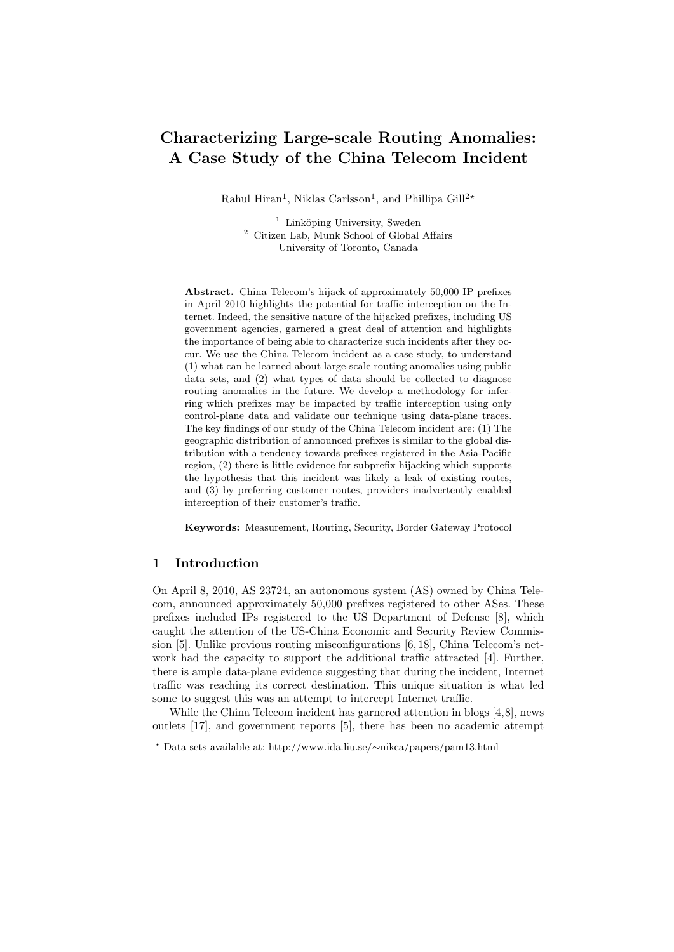# Characterizing Large-scale Routing Anomalies: A Case Study of the China Telecom Incident

Rahul Hiran<sup>1</sup>, Niklas Carlsson<sup>1</sup>, and Phillipa Gill<sup>2\*</sup>

 $1$  Linköping University, Sweden <sup>2</sup> Citizen Lab, Munk School of Global Affairs University of Toronto, Canada

Abstract. China Telecom's hijack of approximately 50,000 IP prefixes in April 2010 highlights the potential for traffic interception on the Internet. Indeed, the sensitive nature of the hijacked prefixes, including US government agencies, garnered a great deal of attention and highlights the importance of being able to characterize such incidents after they occur. We use the China Telecom incident as a case study, to understand (1) what can be learned about large-scale routing anomalies using public data sets, and (2) what types of data should be collected to diagnose routing anomalies in the future. We develop a methodology for inferring which prefixes may be impacted by traffic interception using only control-plane data and validate our technique using data-plane traces. The key findings of our study of the China Telecom incident are: (1) The geographic distribution of announced prefixes is similar to the global distribution with a tendency towards prefixes registered in the Asia-Pacific region, (2) there is little evidence for subprefix hijacking which supports the hypothesis that this incident was likely a leak of existing routes, and (3) by preferring customer routes, providers inadvertently enabled interception of their customer's traffic.

Keywords: Measurement, Routing, Security, Border Gateway Protocol

# 1 Introduction

On April 8, 2010, AS 23724, an autonomous system (AS) owned by China Telecom, announced approximately 50,000 prefixes registered to other ASes. These prefixes included IPs registered to the US Department of Defense [8], which caught the attention of the US-China Economic and Security Review Commission [5]. Unlike previous routing misconfigurations [6, 18], China Telecom's network had the capacity to support the additional traffic attracted [4]. Further, there is ample data-plane evidence suggesting that during the incident, Internet traffic was reaching its correct destination. This unique situation is what led some to suggest this was an attempt to intercept Internet traffic.

While the China Telecom incident has garnered attention in blogs [4,8], news outlets [17], and government reports [5], there has been no academic attempt

<sup>?</sup> Data sets available at: http://www.ida.liu.se/∼nikca/papers/pam13.html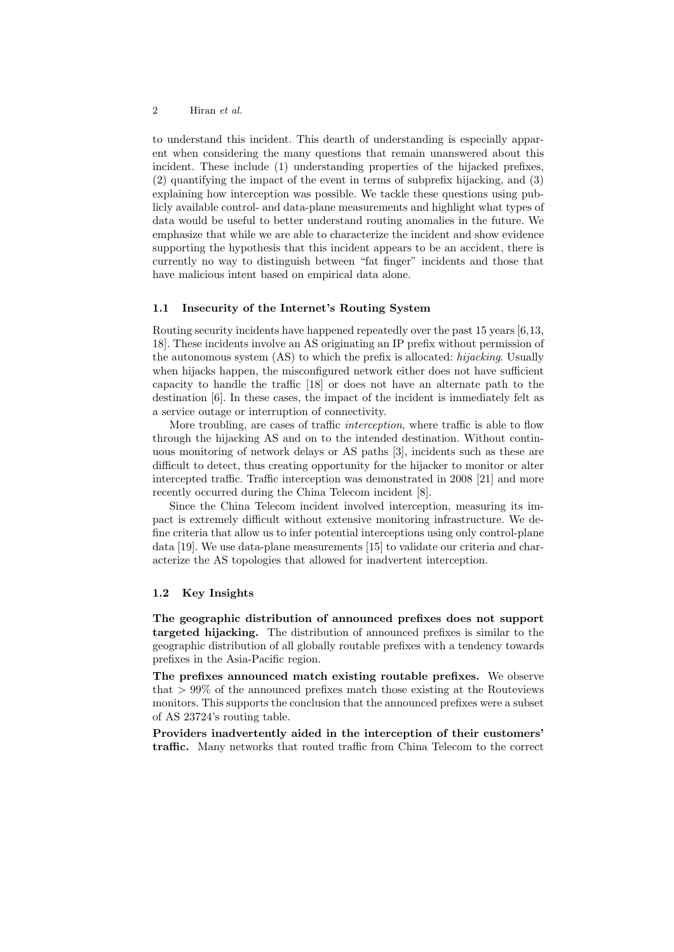to understand this incident. This dearth of understanding is especially apparent when considering the many questions that remain unanswered about this incident. These include (1) understanding properties of the hijacked prefixes, (2) quantifying the impact of the event in terms of subprefix hijacking, and (3) explaining how interception was possible. We tackle these questions using publicly available control- and data-plane measurements and highlight what types of data would be useful to better understand routing anomalies in the future. We emphasize that while we are able to characterize the incident and show evidence supporting the hypothesis that this incident appears to be an accident, there is currently no way to distinguish between "fat finger" incidents and those that have malicious intent based on empirical data alone.

## 1.1 Insecurity of the Internet's Routing System

Routing security incidents have happened repeatedly over the past 15 years [6,13, 18]. These incidents involve an AS originating an IP prefix without permission of the autonomous system (AS) to which the prefix is allocated: hijacking. Usually when hijacks happen, the misconfigured network either does not have sufficient capacity to handle the traffic [18] or does not have an alternate path to the destination [6]. In these cases, the impact of the incident is immediately felt as a service outage or interruption of connectivity.

More troubling, are cases of traffic *interception*, where traffic is able to flow through the hijacking AS and on to the intended destination. Without continuous monitoring of network delays or AS paths [3], incidents such as these are difficult to detect, thus creating opportunity for the hijacker to monitor or alter intercepted traffic. Traffic interception was demonstrated in 2008 [21] and more recently occurred during the China Telecom incident [8].

Since the China Telecom incident involved interception, measuring its impact is extremely difficult without extensive monitoring infrastructure. We define criteria that allow us to infer potential interceptions using only control-plane data [19]. We use data-plane measurements [15] to validate our criteria and characterize the AS topologies that allowed for inadvertent interception.

## 1.2 Key Insights

The geographic distribution of announced prefixes does not support targeted hijacking. The distribution of announced prefixes is similar to the geographic distribution of all globally routable prefixes with a tendency towards prefixes in the Asia-Pacific region.

The prefixes announced match existing routable prefixes. We observe that  $> 99\%$  of the announced prefixes match those existing at the Routeviews monitors. This supports the conclusion that the announced prefixes were a subset of AS 23724's routing table.

Providers inadvertently aided in the interception of their customers' traffic. Many networks that routed traffic from China Telecom to the correct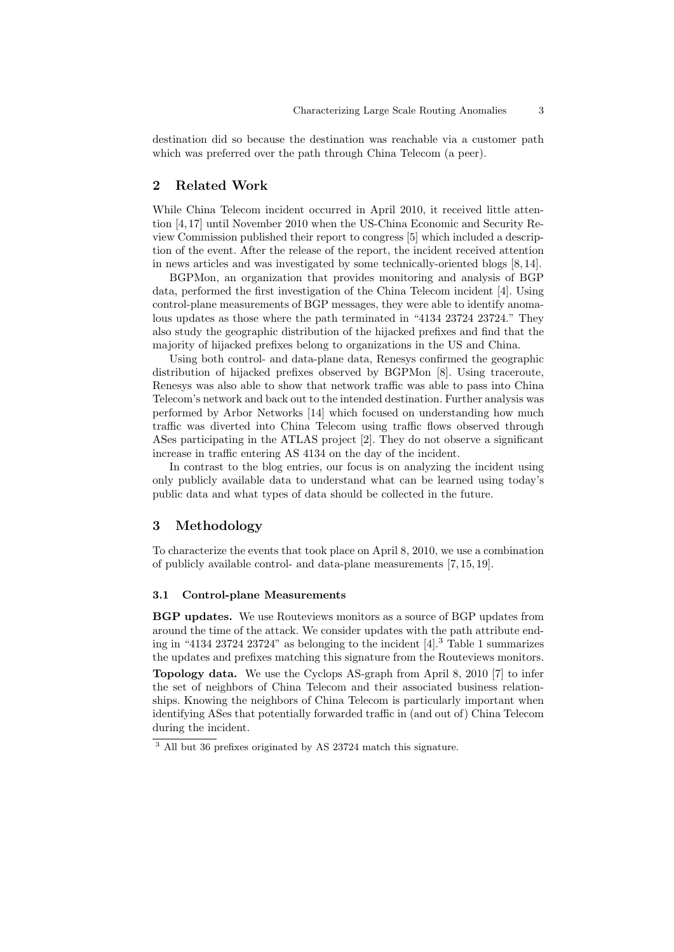destination did so because the destination was reachable via a customer path which was preferred over the path through China Telecom (a peer).

# 2 Related Work

While China Telecom incident occurred in April 2010, it received little attention [4, 17] until November 2010 when the US-China Economic and Security Review Commission published their report to congress [5] which included a description of the event. After the release of the report, the incident received attention in news articles and was investigated by some technically-oriented blogs [8, 14].

BGPMon, an organization that provides monitoring and analysis of BGP data, performed the first investigation of the China Telecom incident [4]. Using control-plane measurements of BGP messages, they were able to identify anomalous updates as those where the path terminated in "4134 23724 23724." They also study the geographic distribution of the hijacked prefixes and find that the majority of hijacked prefixes belong to organizations in the US and China.

Using both control- and data-plane data, Renesys confirmed the geographic distribution of hijacked prefixes observed by BGPMon [8]. Using traceroute, Renesys was also able to show that network traffic was able to pass into China Telecom's network and back out to the intended destination. Further analysis was performed by Arbor Networks [14] which focused on understanding how much traffic was diverted into China Telecom using traffic flows observed through ASes participating in the ATLAS project [2]. They do not observe a significant increase in traffic entering AS 4134 on the day of the incident.

In contrast to the blog entries, our focus is on analyzing the incident using only publicly available data to understand what can be learned using today's public data and what types of data should be collected in the future.

## 3 Methodology

To characterize the events that took place on April 8, 2010, we use a combination of publicly available control- and data-plane measurements [7, 15, 19].

#### 3.1 Control-plane Measurements

BGP updates. We use Routeviews monitors as a source of BGP updates from around the time of the attack. We consider updates with the path attribute ending in "4134 23724 23724" as belonging to the incident  $[4]$ .<sup>3</sup> Table 1 summarizes the updates and prefixes matching this signature from the Routeviews monitors. Topology data. We use the Cyclops AS-graph from April 8, 2010 [7] to infer the set of neighbors of China Telecom and their associated business relationships. Knowing the neighbors of China Telecom is particularly important when identifying ASes that potentially forwarded traffic in (and out of) China Telecom during the incident.

<sup>3</sup> All but 36 prefixes originated by AS 23724 match this signature.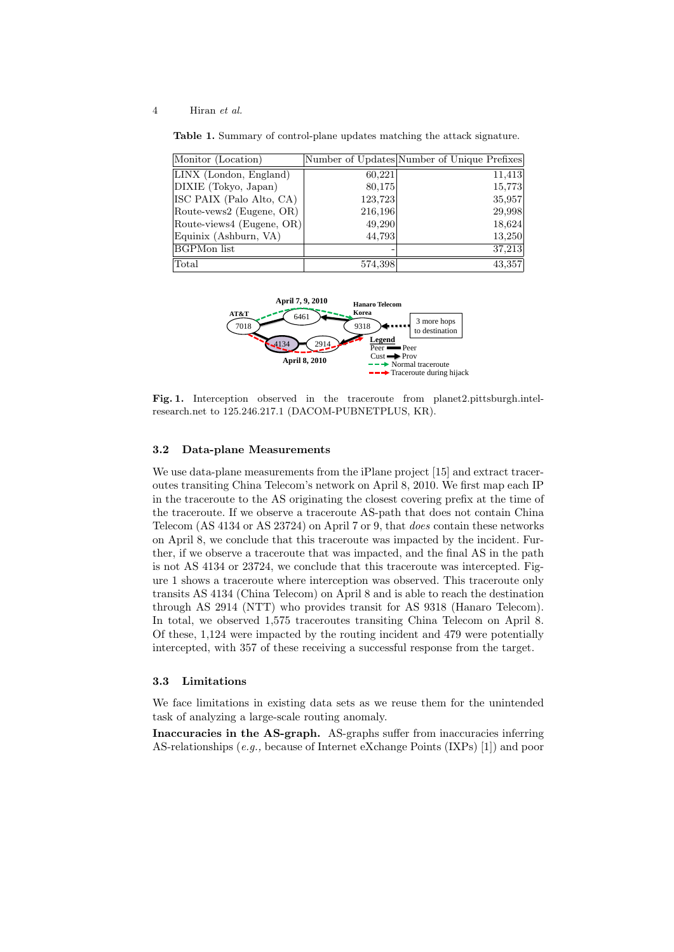Table 1. Summary of control-plane updates matching the attack signature.

| Monitor (Location)        |         | Number of Updates Number of Unique Prefixes |
|---------------------------|---------|---------------------------------------------|
| LINX (London, England)    | 60,221  | 11,413                                      |
| DIXIE (Tokyo, Japan)      | 80,175  | 15,773                                      |
| ISC PAIX (Palo Alto, CA)  | 123,723 | 35,957                                      |
| Route-vews2 (Eugene, OR)  | 216,196 | 29,998                                      |
| Route-views4 (Eugene, OR) | 49,290  | 18,624                                      |
| Equinix (Ashburn, VA)     | 44,793  | 13,250                                      |
| <b>BGPMon</b> list        |         | 37,213                                      |
| Total                     | 574,398 | 43,357                                      |



Fig. 1. Interception observed in the traceroute from planet2.pittsburgh.intelresearch.net to 125.246.217.1 (DACOM-PUBNETPLUS, KR).

#### 3.2 Data-plane Measurements

We use data-plane measurements from the iPlane project [15] and extract traceroutes transiting China Telecom's network on April 8, 2010. We first map each IP in the traceroute to the AS originating the closest covering prefix at the time of the traceroute. If we observe a traceroute AS-path that does not contain China Telecom (AS 4134 or AS 23724) on April 7 or 9, that does contain these networks on April 8, we conclude that this traceroute was impacted by the incident. Further, if we observe a traceroute that was impacted, and the final AS in the path is not AS 4134 or 23724, we conclude that this traceroute was intercepted. Figure 1 shows a traceroute where interception was observed. This traceroute only transits AS 4134 (China Telecom) on April 8 and is able to reach the destination through AS 2914 (NTT) who provides transit for AS 9318 (Hanaro Telecom). In total, we observed 1,575 traceroutes transiting China Telecom on April 8. Of these, 1,124 were impacted by the routing incident and 479 were potentially intercepted, with 357 of these receiving a successful response from the target.

#### 3.3 Limitations

We face limitations in existing data sets as we reuse them for the unintended task of analyzing a large-scale routing anomaly.

Inaccuracies in the AS-graph. AS-graphs suffer from inaccuracies inferring AS-relationships (e.g., because of Internet eXchange Points (IXPs) [1]) and poor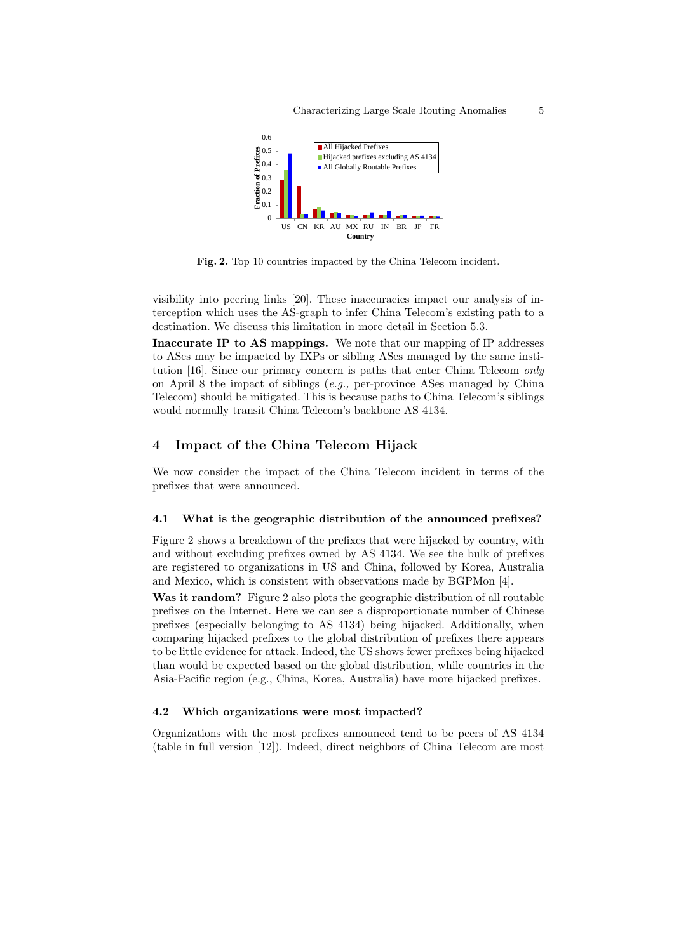

Fig. 2. Top 10 countries impacted by the China Telecom incident.

visibility into peering links [20]. These inaccuracies impact our analysis of interception which uses the AS-graph to infer China Telecom's existing path to a destination. We discuss this limitation in more detail in Section 5.3.

Inaccurate IP to AS mappings. We note that our mapping of IP addresses to ASes may be impacted by IXPs or sibling ASes managed by the same institution [16]. Since our primary concern is paths that enter China Telecom only on April 8 the impact of siblings  $(e.g.,$  per-province ASes managed by China Telecom) should be mitigated. This is because paths to China Telecom's siblings would normally transit China Telecom's backbone AS 4134.

# 4 Impact of the China Telecom Hijack

We now consider the impact of the China Telecom incident in terms of the prefixes that were announced.

#### 4.1 What is the geographic distribution of the announced prefixes?

Figure 2 shows a breakdown of the prefixes that were hijacked by country, with and without excluding prefixes owned by AS 4134. We see the bulk of prefixes are registered to organizations in US and China, followed by Korea, Australia and Mexico, which is consistent with observations made by BGPMon [4].

Was it random? Figure 2 also plots the geographic distribution of all routable prefixes on the Internet. Here we can see a disproportionate number of Chinese prefixes (especially belonging to AS 4134) being hijacked. Additionally, when comparing hijacked prefixes to the global distribution of prefixes there appears to be little evidence for attack. Indeed, the US shows fewer prefixes being hijacked than would be expected based on the global distribution, while countries in the Asia-Pacific region (e.g., China, Korea, Australia) have more hijacked prefixes.

#### 4.2 Which organizations were most impacted?

Organizations with the most prefixes announced tend to be peers of AS 4134 (table in full version [12]). Indeed, direct neighbors of China Telecom are most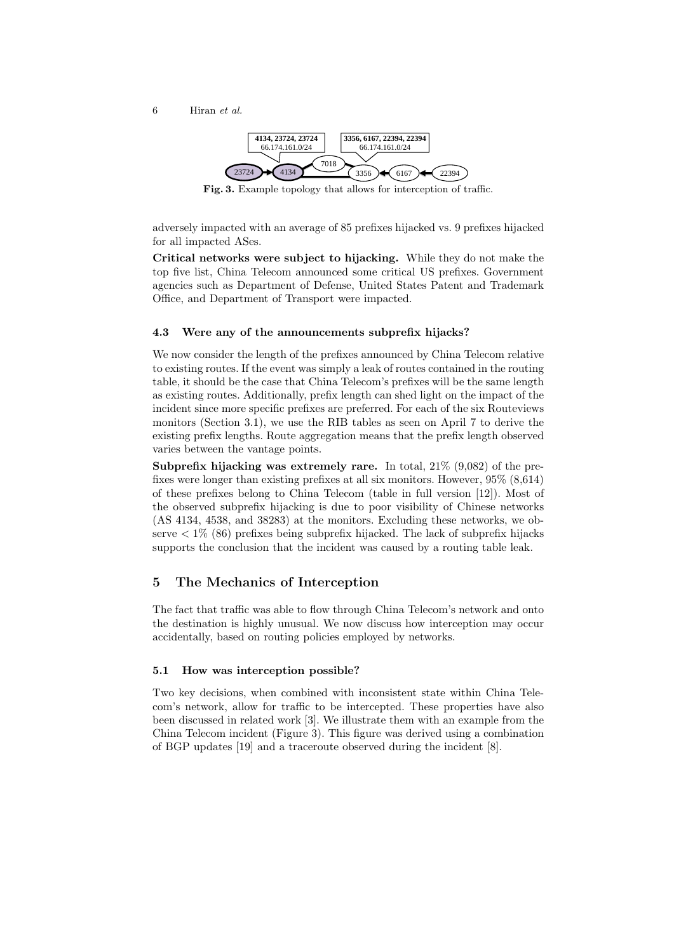

Fig. 3. Example topology that allows for interception of traffic.

adversely impacted with an average of 85 prefixes hijacked vs. 9 prefixes hijacked for all impacted ASes.

Critical networks were subject to hijacking. While they do not make the top five list, China Telecom announced some critical US prefixes. Government agencies such as Department of Defense, United States Patent and Trademark Office, and Department of Transport were impacted.

## 4.3 Were any of the announcements subprefix hijacks?

We now consider the length of the prefixes announced by China Telecom relative to existing routes. If the event was simply a leak of routes contained in the routing table, it should be the case that China Telecom's prefixes will be the same length as existing routes. Additionally, prefix length can shed light on the impact of the incident since more specific prefixes are preferred. For each of the six Routeviews monitors (Section 3.1), we use the RIB tables as seen on April 7 to derive the existing prefix lengths. Route aggregation means that the prefix length observed varies between the vantage points.

Subprefix hijacking was extremely rare. In total,  $21\%$  (9.082) of the prefixes were longer than existing prefixes at all six monitors. However, 95% (8,614) of these prefixes belong to China Telecom (table in full version [12]). Most of the observed subprefix hijacking is due to poor visibility of Chinese networks (AS 4134, 4538, and 38283) at the monitors. Excluding these networks, we observe  $\lt 1\%$  (86) prefixes being subprefix hijacked. The lack of subprefix hijacks supports the conclusion that the incident was caused by a routing table leak.

# 5 The Mechanics of Interception

The fact that traffic was able to flow through China Telecom's network and onto the destination is highly unusual. We now discuss how interception may occur accidentally, based on routing policies employed by networks.

## 5.1 How was interception possible?

Two key decisions, when combined with inconsistent state within China Telecom's network, allow for traffic to be intercepted. These properties have also been discussed in related work [3]. We illustrate them with an example from the China Telecom incident (Figure 3). This figure was derived using a combination of BGP updates [19] and a traceroute observed during the incident [8].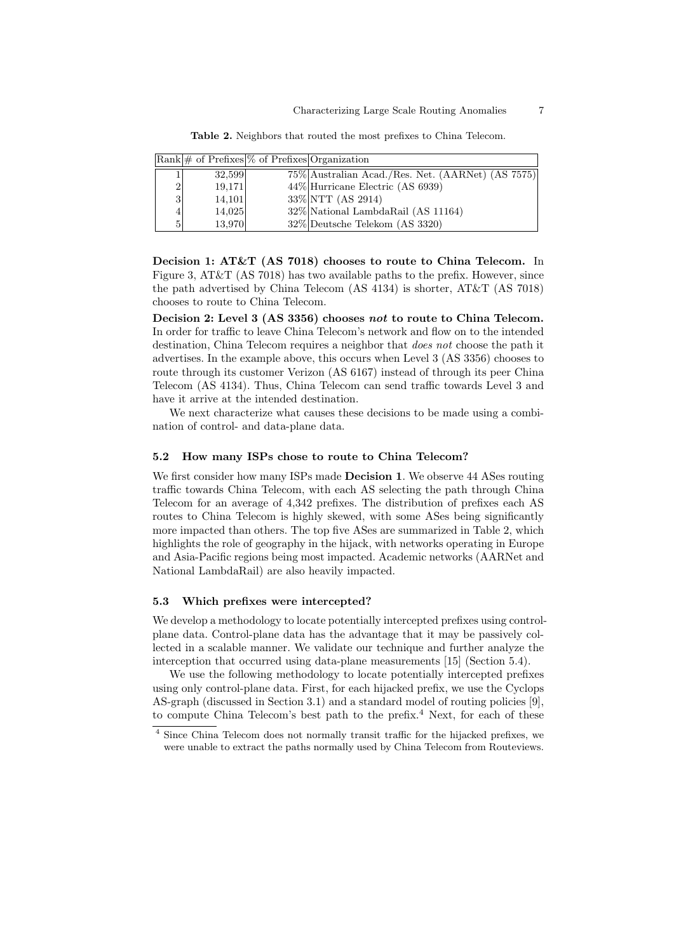|                |        | $\vert$ Rank $\vert \#$ of Prefixes $\vert\%$ of Prefixes Organization |                                                         |
|----------------|--------|------------------------------------------------------------------------|---------------------------------------------------------|
|                | 32,599 |                                                                        | $75\%$ Australian Acad./Res. Net. (AARNet) (AS $7575$ ) |
| $\overline{2}$ | 19.171 |                                                                        | 44% Hurricane Electric (AS 6939)                        |
| 3              | 14,101 |                                                                        | 33% NTT (AS 2914)                                       |
| 4              | 14,025 |                                                                        | 32% National LambdaRail (AS 11164)                      |
| 5              | 13,970 |                                                                        | 32% Deutsche Telekom (AS 3320)                          |

Table 2. Neighbors that routed the most prefixes to China Telecom.

Decision 1: AT&T (AS 7018) chooses to route to China Telecom. In Figure 3, AT&T (AS 7018) has two available paths to the prefix. However, since the path advertised by China Telecom (AS 4134) is shorter, AT&T (AS 7018) chooses to route to China Telecom.

Decision 2: Level 3 (AS 3356) chooses not to route to China Telecom. In order for traffic to leave China Telecom's network and flow on to the intended destination, China Telecom requires a neighbor that does not choose the path it advertises. In the example above, this occurs when Level 3 (AS 3356) chooses to route through its customer Verizon (AS 6167) instead of through its peer China Telecom (AS 4134). Thus, China Telecom can send traffic towards Level 3 and have it arrive at the intended destination.

We next characterize what causes these decisions to be made using a combination of control- and data-plane data.

#### 5.2 How many ISPs chose to route to China Telecom?

We first consider how many ISPs made **Decision 1**. We observe 44 ASes routing traffic towards China Telecom, with each AS selecting the path through China Telecom for an average of 4,342 prefixes. The distribution of prefixes each AS routes to China Telecom is highly skewed, with some ASes being significantly more impacted than others. The top five ASes are summarized in Table 2, which highlights the role of geography in the hijack, with networks operating in Europe and Asia-Pacific regions being most impacted. Academic networks (AARNet and National LambdaRail) are also heavily impacted.

#### 5.3 Which prefixes were intercepted?

We develop a methodology to locate potentially intercepted prefixes using controlplane data. Control-plane data has the advantage that it may be passively collected in a scalable manner. We validate our technique and further analyze the interception that occurred using data-plane measurements [15] (Section 5.4).

We use the following methodology to locate potentially intercepted prefixes using only control-plane data. First, for each hijacked prefix, we use the Cyclops AS-graph (discussed in Section 3.1) and a standard model of routing policies [9], to compute China Telecom's best path to the prefix.<sup>4</sup> Next, for each of these

<sup>4</sup> Since China Telecom does not normally transit traffic for the hijacked prefixes, we were unable to extract the paths normally used by China Telecom from Routeviews.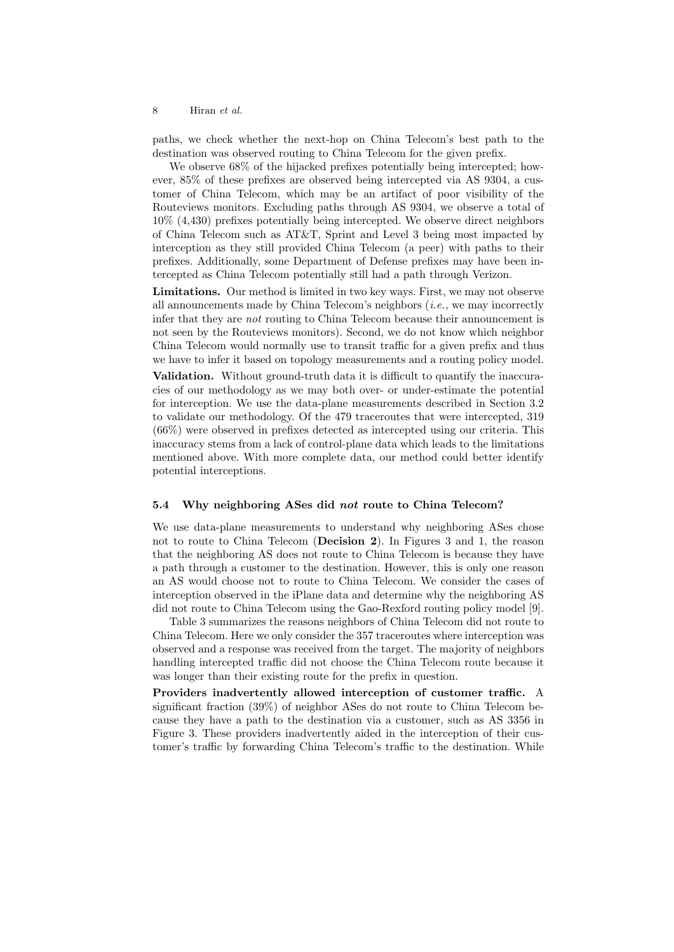paths, we check whether the next-hop on China Telecom's best path to the destination was observed routing to China Telecom for the given prefix.

We observe 68% of the hijacked prefixes potentially being intercepted; however, 85% of these prefixes are observed being intercepted via AS 9304, a customer of China Telecom, which may be an artifact of poor visibility of the Routeviews monitors. Excluding paths through AS 9304, we observe a total of 10% (4,430) prefixes potentially being intercepted. We observe direct neighbors of China Telecom such as AT&T, Sprint and Level 3 being most impacted by interception as they still provided China Telecom (a peer) with paths to their prefixes. Additionally, some Department of Defense prefixes may have been intercepted as China Telecom potentially still had a path through Verizon.

Limitations. Our method is limited in two key ways. First, we may not observe all announcements made by China Telecom's neighbors  $(i.e.,$  we may incorrectly infer that they are not routing to China Telecom because their announcement is not seen by the Routeviews monitors). Second, we do not know which neighbor China Telecom would normally use to transit traffic for a given prefix and thus we have to infer it based on topology measurements and a routing policy model.

Validation. Without ground-truth data it is difficult to quantify the inaccuracies of our methodology as we may both over- or under-estimate the potential for interception. We use the data-plane measurements described in Section 3.2 to validate our methodology. Of the 479 traceroutes that were intercepted, 319 (66%) were observed in prefixes detected as intercepted using our criteria. This inaccuracy stems from a lack of control-plane data which leads to the limitations mentioned above. With more complete data, our method could better identify potential interceptions.

#### 5.4 Why neighboring ASes did not route to China Telecom?

We use data-plane measurements to understand why neighboring ASes chose not to route to China Telecom (Decision 2). In Figures 3 and 1, the reason that the neighboring AS does not route to China Telecom is because they have a path through a customer to the destination. However, this is only one reason an AS would choose not to route to China Telecom. We consider the cases of interception observed in the iPlane data and determine why the neighboring AS did not route to China Telecom using the Gao-Rexford routing policy model [9].

Table 3 summarizes the reasons neighbors of China Telecom did not route to China Telecom. Here we only consider the 357 traceroutes where interception was observed and a response was received from the target. The majority of neighbors handling intercepted traffic did not choose the China Telecom route because it was longer than their existing route for the prefix in question.

Providers inadvertently allowed interception of customer traffic. A significant fraction (39%) of neighbor ASes do not route to China Telecom because they have a path to the destination via a customer, such as AS 3356 in Figure 3. These providers inadvertently aided in the interception of their customer's traffic by forwarding China Telecom's traffic to the destination. While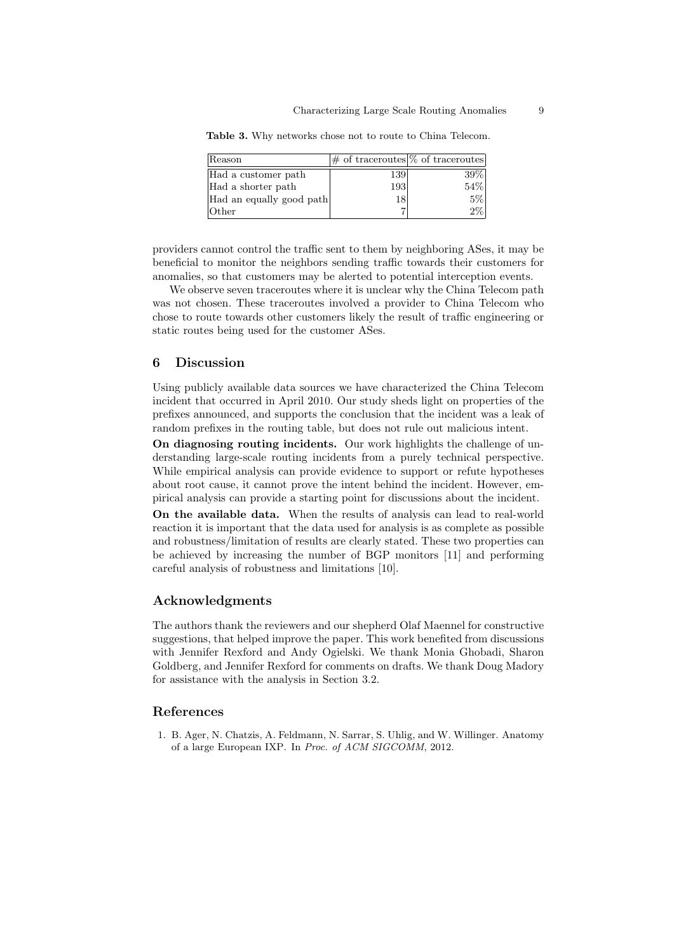| Reason                   |     | $\#$ of traceroutes $\%$ of traceroutes |
|--------------------------|-----|-----------------------------------------|
| Had a customer path      | 139 | $39\%$                                  |
| Had a shorter path       | 193 | 54%                                     |
| Had an equally good path | 18  | $5\%$                                   |
| <b>Other</b>             |     | $2\%$                                   |

Table 3. Why networks chose not to route to China Telecom.

providers cannot control the traffic sent to them by neighboring ASes, it may be beneficial to monitor the neighbors sending traffic towards their customers for anomalies, so that customers may be alerted to potential interception events.

We observe seven traceroutes where it is unclear why the China Telecom path was not chosen. These traceroutes involved a provider to China Telecom who chose to route towards other customers likely the result of traffic engineering or static routes being used for the customer ASes.

## 6 Discussion

Using publicly available data sources we have characterized the China Telecom incident that occurred in April 2010. Our study sheds light on properties of the prefixes announced, and supports the conclusion that the incident was a leak of random prefixes in the routing table, but does not rule out malicious intent.

On diagnosing routing incidents. Our work highlights the challenge of understanding large-scale routing incidents from a purely technical perspective. While empirical analysis can provide evidence to support or refute hypotheses about root cause, it cannot prove the intent behind the incident. However, empirical analysis can provide a starting point for discussions about the incident.

On the available data. When the results of analysis can lead to real-world reaction it is important that the data used for analysis is as complete as possible and robustness/limitation of results are clearly stated. These two properties can be achieved by increasing the number of BGP monitors [11] and performing careful analysis of robustness and limitations [10].

# Acknowledgments

The authors thank the reviewers and our shepherd Olaf Maennel for constructive suggestions, that helped improve the paper. This work benefited from discussions with Jennifer Rexford and Andy Ogielski. We thank Monia Ghobadi, Sharon Goldberg, and Jennifer Rexford for comments on drafts. We thank Doug Madory for assistance with the analysis in Section 3.2.

# References

1. B. Ager, N. Chatzis, A. Feldmann, N. Sarrar, S. Uhlig, and W. Willinger. Anatomy of a large European IXP. In Proc. of ACM SIGCOMM, 2012.